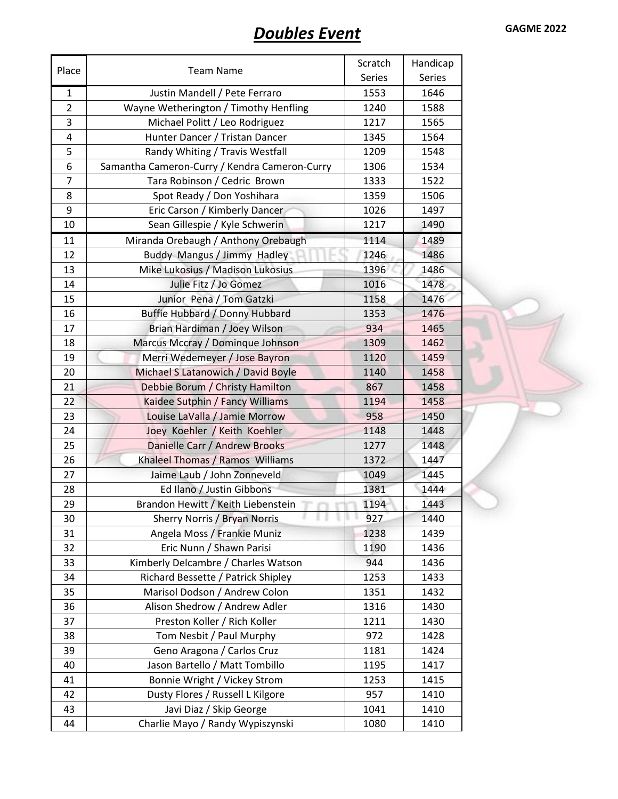## **Doubles Event GAGME 2022**

|                |                                               | Scratch | Handicap |
|----------------|-----------------------------------------------|---------|----------|
| Place          | <b>Team Name</b>                              | Series  | Series   |
| $\mathbf{1}$   | Justin Mandell / Pete Ferraro                 | 1553    | 1646     |
| $\overline{2}$ | Wayne Wetherington / Timothy Henfling         | 1240    | 1588     |
| 3              | Michael Politt / Leo Rodriguez                | 1217    | 1565     |
| 4              | Hunter Dancer / Tristan Dancer                | 1345    | 1564     |
| 5              | Randy Whiting / Travis Westfall               | 1209    | 1548     |
| 6              | Samantha Cameron-Curry / Kendra Cameron-Curry | 1306    | 1534     |
| $\overline{7}$ | Tara Robinson / Cedric Brown                  | 1333    | 1522     |
| 8              | Spot Ready / Don Yoshihara                    | 1359    | 1506     |
| 9              | Eric Carson / Kimberly Dancer                 | 1026    | 1497     |
| 10             | Sean Gillespie / Kyle Schwerin                | 1217    | 1490     |
| 11             | Miranda Orebaugh / Anthony Orebaugh           | 1114    | 1489     |
| 12             | Buddy Mangus / Jimmy Hadley                   | 1246    | 1486     |
| 13             | Mike Lukosius / Madison Lukosius              | 1396    | 1486     |
| 14             | Julie Fitz / Jo Gomez                         | 1016    | 1478     |
| 15             | Junior Pena / Tom Gatzki                      | 1158    | 1476     |
| 16             | Buffie Hubbard / Donny Hubbard                | 1353    | 1476     |
| 17             | Brian Hardiman / Joey Wilson                  | 934     | 1465     |
| 18             | Marcus Mccray / Dominque Johnson              | 1309    | 1462     |
| 19             | Merri Wedemeyer / Jose Bayron                 | 1120    | 1459     |
| 20             | Michael S Latanowich / David Boyle            | 1140    | 1458     |
| 21             | Debbie Borum / Christy Hamilton               | 867     | 1458     |
| 22             | Kaidee Sutphin / Fancy Williams               | 1194    | 1458     |
| 23             | Louise LaValla / Jamie Morrow                 | 958     | 1450     |
| 24             | Joey Koehler / Keith Koehler                  | 1148    | 1448     |
| 25             | Danielle Carr / Andrew Brooks                 | 1277    | 1448     |
| 26             | Khaleel Thomas / Ramos Williams               | 1372    | 1447     |
| 27             | Jaime Laub / John Zonneveld                   | 1049    | 1445     |
| 28             | Ed Ilano / Justin Gibbons                     | 1381    | 1444     |
| 29             | Brandon Hewitt / Keith Liebenstein            | 1194    | 1443     |
| 30             | Sherry Norris / Bryan Norris                  | 927     | 1440     |
| 31             | Angela Moss / Frankie Muniz                   | 1238    | 1439     |
| 32             | Eric Nunn / Shawn Parisi                      | 1190    | 1436     |
| 33             | Kimberly Delcambre / Charles Watson           | 944     | 1436     |
| 34             | Richard Bessette / Patrick Shipley            | 1253    | 1433     |
| 35             | Marisol Dodson / Andrew Colon                 | 1351    | 1432     |
| 36             | Alison Shedrow / Andrew Adler                 | 1316    | 1430     |
| 37             | Preston Koller / Rich Koller                  | 1211    | 1430     |
| 38             | Tom Nesbit / Paul Murphy                      | 972     | 1428     |
| 39             | Geno Aragona / Carlos Cruz                    | 1181    | 1424     |
| 40             | Jason Bartello / Matt Tombillo                | 1195    | 1417     |
| 41             | Bonnie Wright / Vickey Strom                  | 1253    | 1415     |
| 42             | Dusty Flores / Russell L Kilgore              | 957     | 1410     |
| 43             | Javi Diaz / Skip George                       | 1041    | 1410     |
| 44             | Charlie Mayo / Randy Wypiszynski              | 1080    | 1410     |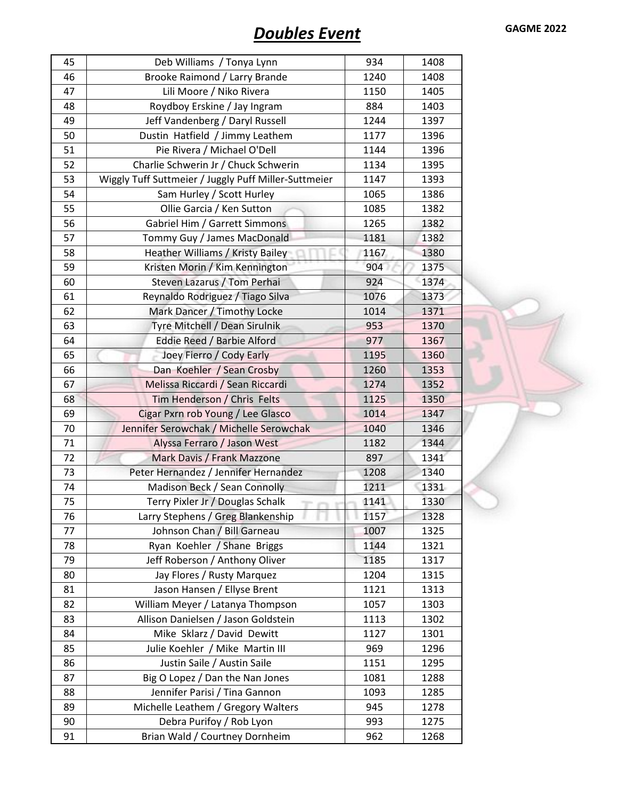| 45 | Deb Williams / Tonya Lynn                            | 934  | 1408 |
|----|------------------------------------------------------|------|------|
| 46 | Brooke Raimond / Larry Brande                        | 1240 | 1408 |
| 47 | Lili Moore / Niko Rivera                             | 1150 | 1405 |
| 48 | Roydboy Erskine / Jay Ingram                         | 884  | 1403 |
| 49 | Jeff Vandenberg / Daryl Russell                      | 1244 | 1397 |
| 50 | Dustin Hatfield / Jimmy Leathem                      | 1177 | 1396 |
| 51 | Pie Rivera / Michael O'Dell                          | 1144 | 1396 |
| 52 | Charlie Schwerin Jr / Chuck Schwerin                 | 1134 | 1395 |
| 53 | Wiggly Tuff Suttmeier / Juggly Puff Miller-Suttmeier | 1147 | 1393 |
| 54 | Sam Hurley / Scott Hurley                            | 1065 | 1386 |
| 55 | Ollie Garcia / Ken Sutton                            | 1085 | 1382 |
| 56 | Gabriel Him / Garrett Simmons                        | 1265 | 1382 |
| 57 | Tommy Guy / James MacDonald                          | 1181 | 1382 |
| 58 | Heather Williams / Kristy Bailey                     | 1167 | 1380 |
| 59 | Kristen Morin / Kim Kennington                       | 904  | 1375 |
| 60 | Steven Lazarus / Tom Perhai                          | 924  | 1374 |
| 61 | Reynaldo Rodriguez / Tiago Silva                     | 1076 | 1373 |
| 62 | Mark Dancer / Timothy Locke                          | 1014 | 1371 |
| 63 | Tyre Mitchell / Dean Sirulnik                        | 953  | 1370 |
| 64 | Eddie Reed / Barbie Alford                           | 977  | 1367 |
| 65 | Joey Fierro / Cody Early                             | 1195 | 1360 |
| 66 | Dan Koehler / Sean Crosby                            | 1260 | 1353 |
| 67 | Melissa Riccardi / Sean Riccardi                     | 1274 | 1352 |
| 68 | Tim Henderson / Chris Felts                          | 1125 | 1350 |
| 69 | Cigar Pxrn rob Young / Lee Glasco                    | 1014 | 1347 |
| 70 | Jennifer Serowchak / Michelle Serowchak              | 1040 | 1346 |
| 71 | Alyssa Ferraro / Jason West                          | 1182 | 1344 |
| 72 | Mark Davis / Frank Mazzone                           | 897  | 1341 |
| 73 | Peter Hernandez / Jennifer Hernandez                 | 1208 | 1340 |
| 74 | Madison Beck / Sean Connolly                         | 1211 | 1331 |
| 75 | Terry Pixler Jr / Douglas Schalk                     | 1141 | 1330 |
| 76 | Larry Stephens / Greg Blankenship                    | 1157 | 1328 |
| 77 | Johnson Chan / Bill Garneau                          | 1007 | 1325 |
| 78 | Ryan Koehler / Shane Briggs                          | 1144 | 1321 |
| 79 | Jeff Roberson / Anthony Oliver                       | 1185 | 1317 |
| 80 | Jay Flores / Rusty Marquez                           | 1204 | 1315 |
| 81 | Jason Hansen / Ellyse Brent                          | 1121 | 1313 |
| 82 | William Meyer / Latanya Thompson                     | 1057 | 1303 |
| 83 | Allison Danielsen / Jason Goldstein                  | 1113 | 1302 |
| 84 | Mike Sklarz / David Dewitt                           | 1127 | 1301 |
| 85 | Julie Koehler / Mike Martin III                      | 969  | 1296 |
| 86 | Justin Saile / Austin Saile                          | 1151 | 1295 |
| 87 | Big O Lopez / Dan the Nan Jones                      | 1081 | 1288 |
| 88 | Jennifer Parisi / Tina Gannon                        | 1093 | 1285 |
| 89 | Michelle Leathem / Gregory Walters                   | 945  | 1278 |
| 90 | Debra Purifoy / Rob Lyon                             | 993  | 1275 |
| 91 | Brian Wald / Courtney Dornheim                       | 962  | 1268 |